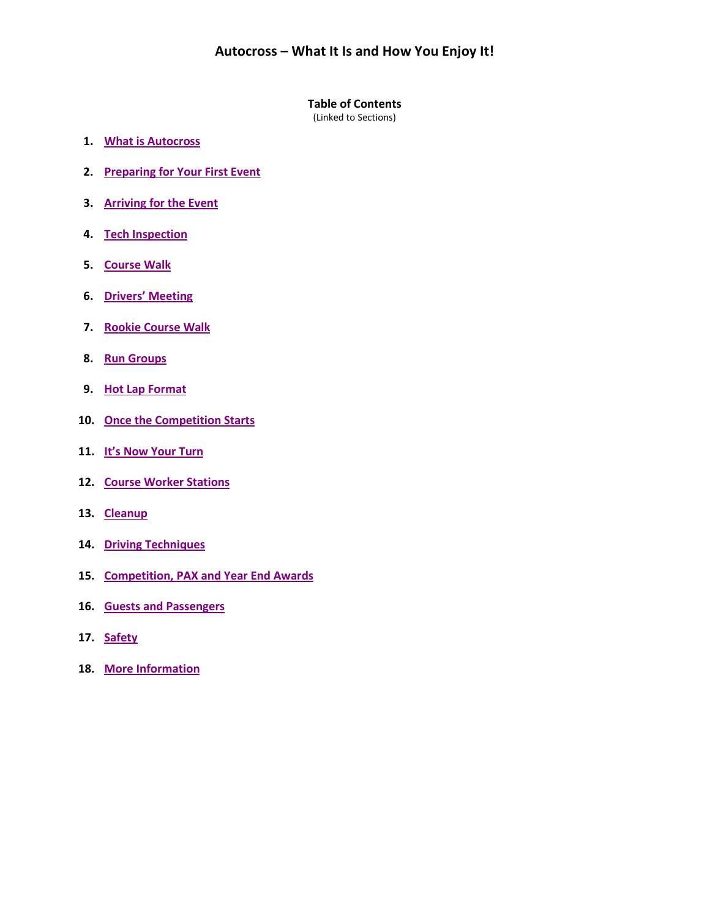#### **Table of Contents**

(Linked to Sections)

- **1. [What is Autocross](#page-1-0)**
- **2. [Preparing for Your First Event](#page-1-1)**
- **3. [Arriving for the Event](#page-2-0)**
- **4. [Tech Inspection](#page-2-1)**
- **5. [Course Walk](#page-2-2)**
- **6. [Drivers' Meeting](#page-5-0)**
- **7. [Rookie Course Walk](#page-3-0)**
- **8. [Run Groups](#page-3-1)**
- **9. [Hot Lap Format](#page-3-2)**
- **10. [Once the Competition Starts](#page-3-3)**
- **11. [It's Now Your Turn](#page-3-4)**
- **12. [Course Worker Stations](#page-4-0)**
- **13. [Cleanup](#page-5-1)**
- **14. [Driving Techniques](#page-5-0)**
- **15. [Competition, PAX and Year](#page-5-2) End Awards**
- **16. [Guests and Passengers](#page-5-3)**
- **17. [Safety](#page-5-4)**
- **18. [More Information](#page-5-5)**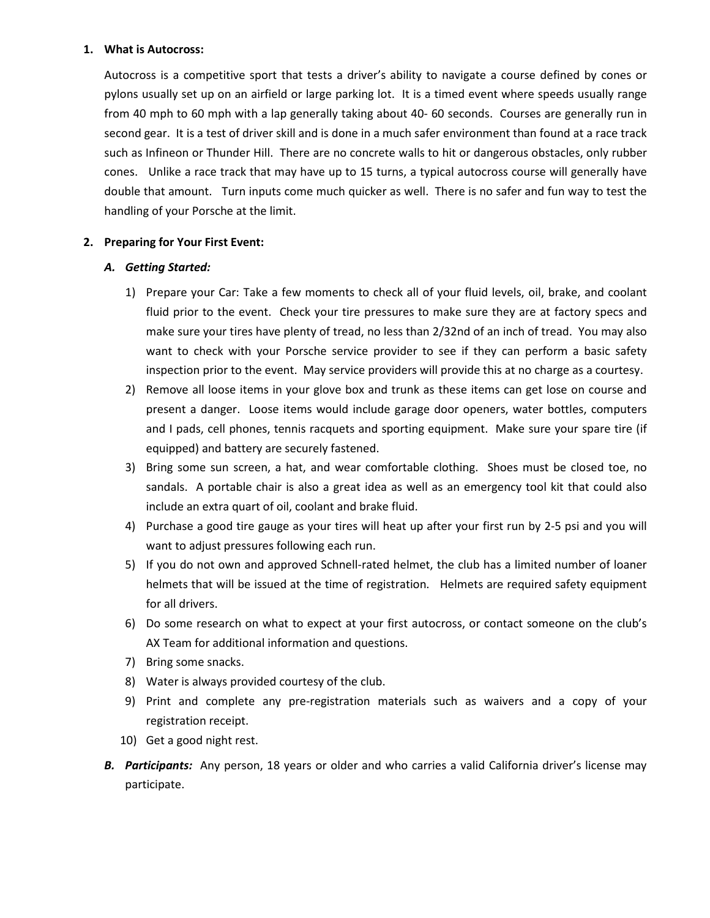#### <span id="page-1-0"></span>**1. What is Autocross:**

Autocross is a competitive sport that tests a driver's ability to navigate a course defined by cones or pylons usually set up on an airfield or large parking lot. It is a timed event where speeds usually range from 40 mph to 60 mph with a lap generally taking about 40- 60 seconds. Courses are generally run in second gear. It is a test of driver skill and is done in a much safer environment than found at a race track such as Infineon or Thunder Hill. There are no concrete walls to hit or dangerous obstacles, only rubber cones. Unlike a race track that may have up to 15 turns, a typical autocross course will generally have double that amount. Turn inputs come much quicker as well. There is no safer and fun way to test the handling of your Porsche at the limit.

# <span id="page-1-1"></span>**2. Preparing for Your First Event:**

# *A. Getting Started:*

- 1) Prepare your Car: Take a few moments to check all of your fluid levels, oil, brake, and coolant fluid prior to the event. Check your tire pressures to make sure they are at factory specs and make sure your tires have plenty of tread, no less than 2/32nd of an inch of tread. You may also want to check with your Porsche service provider to see if they can perform a basic safety inspection prior to the event. May service providers will provide this at no charge as a courtesy.
- 2) Remove all loose items in your glove box and trunk as these items can get lose on course and present a danger. Loose items would include garage door openers, water bottles, computers and I pads, cell phones, tennis racquets and sporting equipment. Make sure your spare tire (if equipped) and battery are securely fastened.
- 3) Bring some sun screen, a hat, and wear comfortable clothing. Shoes must be closed toe, no sandals. A portable chair is also a great idea as well as an emergency tool kit that could also include an extra quart of oil, coolant and brake fluid.
- 4) Purchase a good tire gauge as your tires will heat up after your first run by 2-5 psi and you will want to adjust pressures following each run.
- 5) If you do not own and approved Schnell-rated helmet, the club has a limited number of loaner helmets that will be issued at the time of registration. Helmets are required safety equipment for all drivers.
- 6) Do some research on what to expect at your first autocross, or contact someone on the club's AX Team for additional information and questions.
- 7) Bring some snacks.
- 8) Water is always provided courtesy of the club.
- 9) Print and complete any pre-registration materials such as waivers and a copy of your registration receipt.
- 10) Get a good night rest.
- *B. Participants:* Any person, 18 years or older and who carries a valid California driver's license may participate.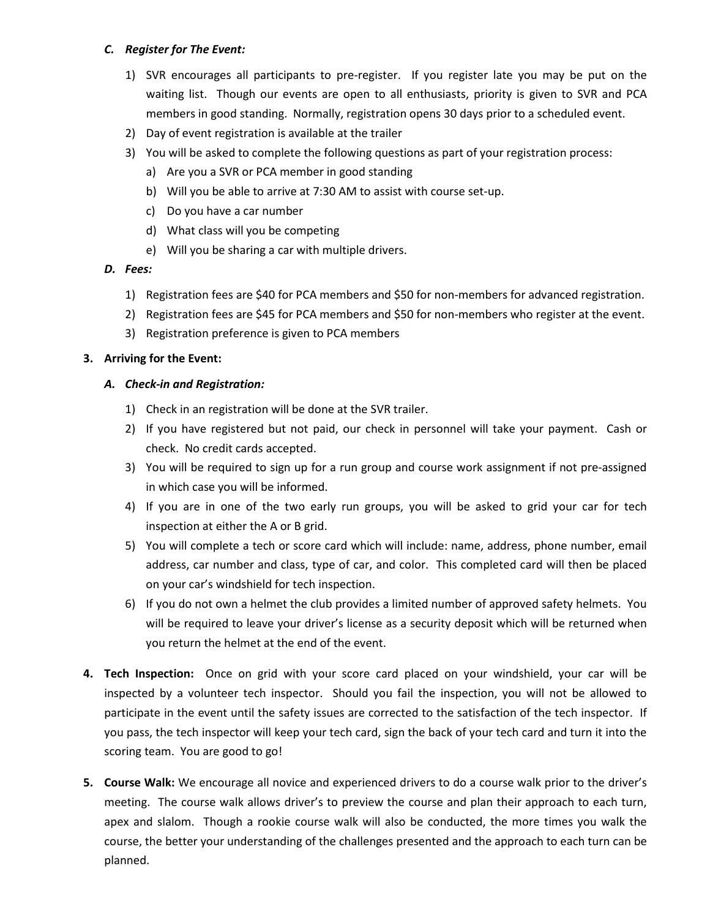## *C. Register for The Event:*

- 1) SVR encourages all participants to pre-register. If you register late you may be put on the waiting list. Though our events are open to all enthusiasts, priority is given to SVR and PCA members in good standing. Normally, registration opens 30 days prior to a scheduled event.
- 2) Day of event registration is available at the trailer
- 3) You will be asked to complete the following questions as part of your registration process:
	- a) Are you a SVR or PCA member in good standing
	- b) Will you be able to arrive at 7:30 AM to assist with course set-up.
	- c) Do you have a car number
	- d) What class will you be competing
	- e) Will you be sharing a car with multiple drivers.

## *D. Fees:*

- 1) Registration fees are \$40 for PCA members and \$50 for non-members for advanced registration.
- 2) Registration fees are \$45 for PCA members and \$50 for non-members who register at the event.
- 3) Registration preference is given to PCA members

## <span id="page-2-0"></span>**3. Arriving for the Event:**

## *A. Check-in and Registration:*

- 1) Check in an registration will be done at the SVR trailer.
- 2) If you have registered but not paid, our check in personnel will take your payment. Cash or check. No credit cards accepted.
- 3) You will be required to sign up for a run group and course work assignment if not pre-assigned in which case you will be informed.
- 4) If you are in one of the two early run groups, you will be asked to grid your car for tech inspection at either the A or B grid.
- 5) You will complete a tech or score card which will include: name, address, phone number, email address, car number and class, type of car, and color. This completed card will then be placed on your car's windshield for tech inspection.
- 6) If you do not own a helmet the club provides a limited number of approved safety helmets. You will be required to leave your driver's license as a security deposit which will be returned when you return the helmet at the end of the event.
- <span id="page-2-1"></span>**4. Tech Inspection:** Once on grid with your score card placed on your windshield, your car will be inspected by a volunteer tech inspector. Should you fail the inspection, you will not be allowed to participate in the event until the safety issues are corrected to the satisfaction of the tech inspector. If you pass, the tech inspector will keep your tech card, sign the back of your tech card and turn it into the scoring team. You are good to go!
- <span id="page-2-2"></span>**5. Course Walk:** We encourage all novice and experienced drivers to do a course walk prior to the driver's meeting. The course walk allows driver's to preview the course and plan their approach to each turn, apex and slalom. Though a rookie course walk will also be conducted, the more times you walk the course, the better your understanding of the challenges presented and the approach to each turn can be planned.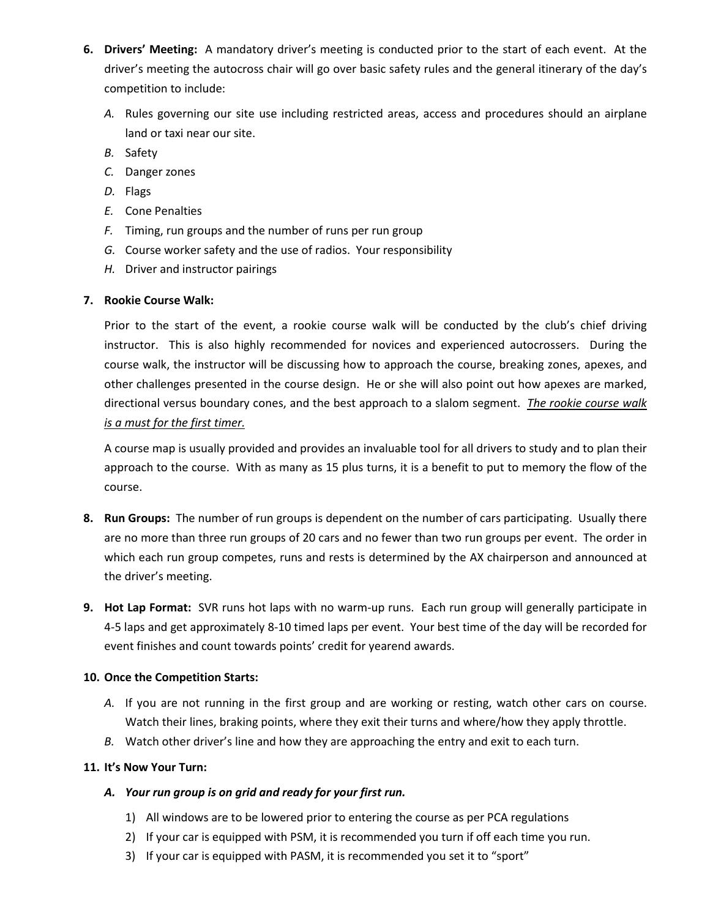- **6. Drivers' Meeting:** A mandatory driver's meeting is conducted prior to the start of each event. At the driver's meeting the autocross chair will go over basic safety rules and the general itinerary of the day's competition to include:
	- *A.* Rules governing our site use including restricted areas, access and procedures should an airplane land or taxi near our site.
	- *B.* Safety
	- *C.* Danger zones
	- *D.* Flags
	- *E.* Cone Penalties
	- *F.* Timing, run groups and the number of runs per run group
	- *G.* Course worker safety and the use of radios. Your responsibility
	- *H.* Driver and instructor pairings

## <span id="page-3-0"></span>**7. Rookie Course Walk:**

Prior to the start of the event, a rookie course walk will be conducted by the club's chief driving instructor. This is also highly recommended for novices and experienced autocrossers. During the course walk, the instructor will be discussing how to approach the course, breaking zones, apexes, and other challenges presented in the course design. He or she will also point out how apexes are marked, directional versus boundary cones, and the best approach to a slalom segment. *The rookie course walk is a must for the first timer.*

A course map is usually provided and provides an invaluable tool for all drivers to study and to plan their approach to the course. With as many as 15 plus turns, it is a benefit to put to memory the flow of the course.

- <span id="page-3-1"></span>**8. Run Groups:** The number of run groups is dependent on the number of cars participating. Usually there are no more than three run groups of 20 cars and no fewer than two run groups per event. The order in which each run group competes, runs and rests is determined by the AX chairperson and announced at the driver's meeting.
- <span id="page-3-2"></span>**9. Hot Lap Format:** SVR runs hot laps with no warm-up runs. Each run group will generally participate in 4-5 laps and get approximately 8-10 timed laps per event. Your best time of the day will be recorded for event finishes and count towards points' credit for yearend awards.

## <span id="page-3-3"></span>**10. Once the Competition Starts:**

- *A.* If you are not running in the first group and are working or resting, watch other cars on course. Watch their lines, braking points, where they exit their turns and where/how they apply throttle.
- *B.* Watch other driver's line and how they are approaching the entry and exit to each turn.

# <span id="page-3-4"></span>**11. It's Now Your Turn:**

## *A. Your run group is on grid and ready for your first run.*

- 1) All windows are to be lowered prior to entering the course as per PCA regulations
- 2) If your car is equipped with PSM, it is recommended you turn if off each time you run.
- 3) If your car is equipped with PASM, it is recommended you set it to "sport"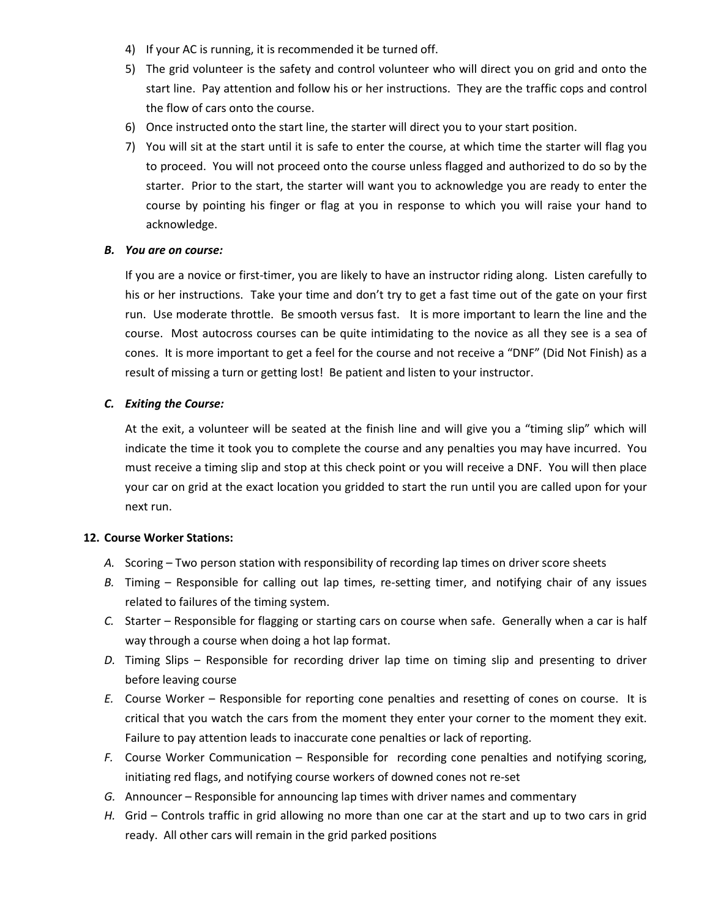- 4) If your AC is running, it is recommended it be turned off.
- 5) The grid volunteer is the safety and control volunteer who will direct you on grid and onto the start line. Pay attention and follow his or her instructions. They are the traffic cops and control the flow of cars onto the course.
- 6) Once instructed onto the start line, the starter will direct you to your start position.
- 7) You will sit at the start until it is safe to enter the course, at which time the starter will flag you to proceed. You will not proceed onto the course unless flagged and authorized to do so by the starter. Prior to the start, the starter will want you to acknowledge you are ready to enter the course by pointing his finger or flag at you in response to which you will raise your hand to acknowledge.

#### *B. You are on course:*

If you are a novice or first-timer, you are likely to have an instructor riding along. Listen carefully to his or her instructions. Take your time and don't try to get a fast time out of the gate on your first run. Use moderate throttle. Be smooth versus fast. It is more important to learn the line and the course. Most autocross courses can be quite intimidating to the novice as all they see is a sea of cones. It is more important to get a feel for the course and not receive a "DNF" (Did Not Finish) as a result of missing a turn or getting lost! Be patient and listen to your instructor.

## *C. Exiting the Course:*

At the exit, a volunteer will be seated at the finish line and will give you a "timing slip" which will indicate the time it took you to complete the course and any penalties you may have incurred. You must receive a timing slip and stop at this check point or you will receive a DNF. You will then place your car on grid at the exact location you gridded to start the run until you are called upon for your next run.

## <span id="page-4-0"></span>**12. Course Worker Stations:**

- *A.* Scoring Two person station with responsibility of recording lap times on driver score sheets
- *B.* Timing Responsible for calling out lap times, re-setting timer, and notifying chair of any issues related to failures of the timing system.
- *C.* Starter Responsible for flagging or starting cars on course when safe. Generally when a car is half way through a course when doing a hot lap format.
- *D.* Timing Slips Responsible for recording driver lap time on timing slip and presenting to driver before leaving course
- *E.* Course Worker Responsible for reporting cone penalties and resetting of cones on course. It is critical that you watch the cars from the moment they enter your corner to the moment they exit. Failure to pay attention leads to inaccurate cone penalties or lack of reporting.
- *F.* Course Worker Communication Responsible for recording cone penalties and notifying scoring, initiating red flags, and notifying course workers of downed cones not re-set
- *G.* Announcer Responsible for announcing lap times with driver names and commentary
- *H.* Grid Controls traffic in grid allowing no more than one car at the start and up to two cars in grid ready. All other cars will remain in the grid parked positions